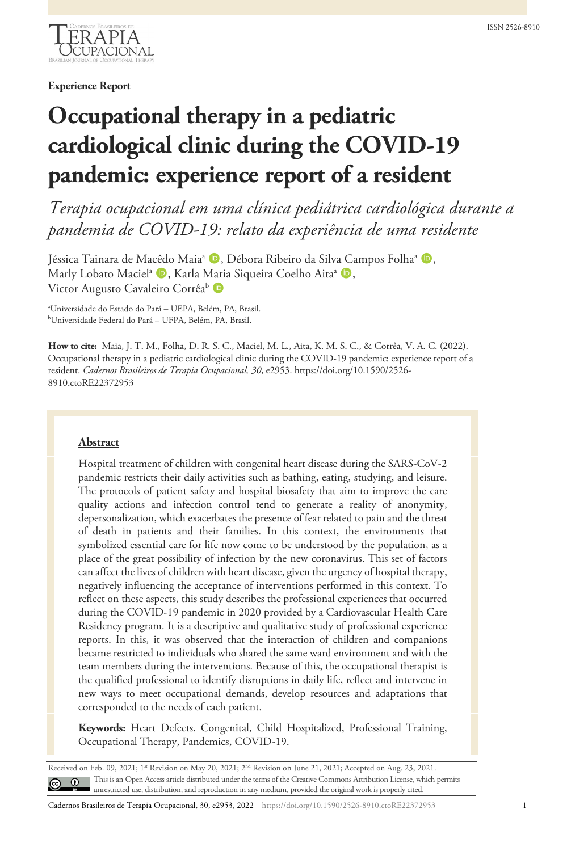

**Experience Report**

# **Occupational therapy in a pediatric cardiological clinic during the COVID-19 pandemic: experience report of a resident**

*Terapia ocupacional em uma clínica pediátrica cardiológica durante a pandemia de COVID-19: relato da experiência de uma residente*

Jéssica Tainara de Macêdo Maia<sup>a</sup> (D, Débora Ribeiro da Silva Campos Folha<sup>a</sup> (D, Marly Lobato Maciel<sup>a</sup> (D, Karla Maria Siqueira Coelho Aita<sup>a</sup> (D, Victor Augusto Cavaleiro Corrêa<sup>b</sup> D

a Universidade do Estado do Pará – UEPA, Belém, PA, Brasil. b Universidade Federal do Pará – UFPA, Belém, PA, Brasil.

**How to cite:** Maia, J. T. M., Folha, D. R. S. C., Maciel, M. L., Aita, K. M. S. C., & Corrêa, V. A. C. (2022). Occupational therapy in a pediatric cardiological clinic during the COVID-19 pandemic: experience report of a resident. *Cadernos Brasileiros de Terapia Ocupacional, 30*, e2953. https://doi.org/10.1590/2526- 8910.ctoRE22372953

## **Abstract**

Hospital treatment of children with congenital heart disease during the SARS-CoV-2 pandemic restricts their daily activities such as bathing, eating, studying, and leisure. The protocols of patient safety and hospital biosafety that aim to improve the care quality actions and infection control tend to generate a reality of anonymity, depersonalization, which exacerbates the presence of fear related to pain and the threat of death in patients and their families. In this context, the environments that symbolized essential care for life now come to be understood by the population, as a place of the great possibility of infection by the new coronavirus. This set of factors can affect the lives of children with heart disease, given the urgency of hospital therapy, negatively influencing the acceptance of interventions performed in this context. To reflect on these aspects, this study describes the professional experiences that occurred during the COVID-19 pandemic in 2020 provided by a Cardiovascular Health Care Residency program. It is a descriptive and qualitative study of professional experience reports. In this, it was observed that the interaction of children and companions became restricted to individuals who shared the same ward environment and with the team members during the interventions. Because of this, the occupational therapist is the qualified professional to identify disruptions in daily life, reflect and intervene in new ways to meet occupational demands, develop resources and adaptations that corresponded to the needs of each patient.

**Keywords:** Heart Defects, Congenital, Child Hospitalized, Professional Training, Occupational Therapy, Pandemics, COVID-19.

Received on Feb. 09, 2021; 1<sup>st</sup> Revision on May 20, 2021; 2<sup>nd</sup> Revision on June 21, 2021; Accepted on Aug. 23, 2021. This is an Open Access article distributed under the terms of the Creative Commons Attribution License, which permits  $\odot$ unrestricted use, distribution, and reproduction in any medium, provided the original work is properly cited.

Cadernos Brasileiros de Terapia Ocupacional, 30, e2953, 2022 | https://doi.org/10.1590/2526-8910.ctoRE22372953 1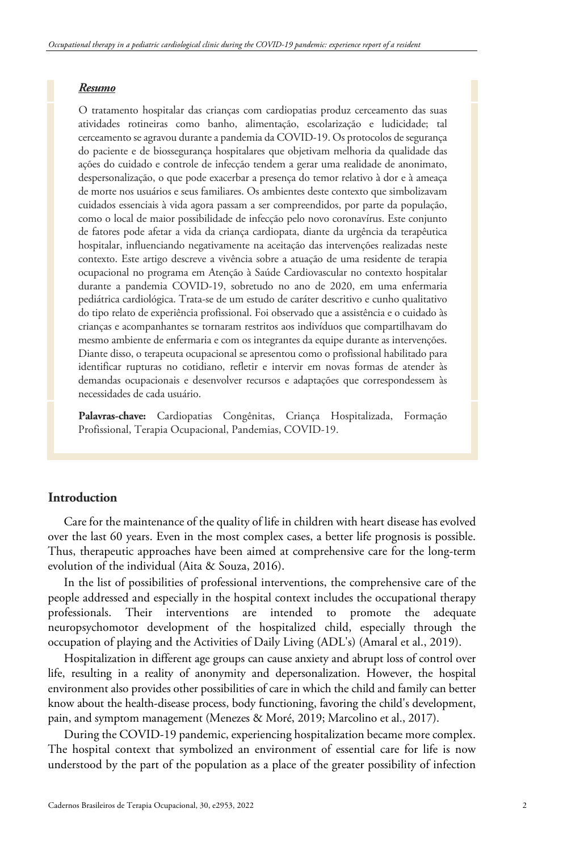### *Resumo*

O tratamento hospitalar das crianças com cardiopatias produz cerceamento das suas atividades rotineiras como banho, alimentação, escolarização e ludicidade; tal cerceamento se agravou durante a pandemia da COVID-19. Os protocolos de segurança do paciente e de biossegurança hospitalares que objetivam melhoria da qualidade das ações do cuidado e controle de infecção tendem a gerar uma realidade de anonimato, despersonalização, o que pode exacerbar a presença do temor relativo à dor e à ameaça de morte nos usuários e seus familiares. Os ambientes deste contexto que simbolizavam cuidados essenciais à vida agora passam a ser compreendidos, por parte da população, como o local de maior possibilidade de infecção pelo novo coronavírus. Este conjunto de fatores pode afetar a vida da criança cardiopata, diante da urgência da terapêutica hospitalar, influenciando negativamente na aceitação das intervenções realizadas neste contexto. Este artigo descreve a vivência sobre a atuação de uma residente de terapia ocupacional no programa em Atenção à Saúde Cardiovascular no contexto hospitalar durante a pandemia COVID-19, sobretudo no ano de 2020, em uma enfermaria pediátrica cardiológica. Trata-se de um estudo de caráter descritivo e cunho qualitativo do tipo relato de experiência profissional. Foi observado que a assistência e o cuidado às crianças e acompanhantes se tornaram restritos aos indivíduos que compartilhavam do mesmo ambiente de enfermaria e com os integrantes da equipe durante as intervenções. Diante disso, o terapeuta ocupacional se apresentou como o profissional habilitado para identificar rupturas no cotidiano, refletir e intervir em novas formas de atender às demandas ocupacionais e desenvolver recursos e adaptações que correspondessem às necessidades de cada usuário.

**Palavras-chave:** Cardiopatias Congênitas, Criança Hospitalizada, Formação Profissional, Terapia Ocupacional, Pandemias, COVID-19.

# **Introduction**

Care for the maintenance of the quality of life in children with heart disease has evolved over the last 60 years. Even in the most complex cases, a better life prognosis is possible. Thus, therapeutic approaches have been aimed at comprehensive care for the long-term evolution of the individual (Aita & Souza, 2016).

In the list of possibilities of professional interventions, the comprehensive care of the people addressed and especially in the hospital context includes the occupational therapy professionals. Their interventions are intended to promote the adequate neuropsychomotor development of the hospitalized child, especially through the occupation of playing and the Activities of Daily Living (ADL's) (Amaral et al., 2019).

Hospitalization in different age groups can cause anxiety and abrupt loss of control over life, resulting in a reality of anonymity and depersonalization. However, the hospital environment also provides other possibilities of care in which the child and family can better know about the health-disease process, body functioning, favoring the child's development, pain, and symptom management (Menezes & Moré, 2019; Marcolino et al., 2017).

During the COVID-19 pandemic, experiencing hospitalization became more complex. The hospital context that symbolized an environment of essential care for life is now understood by the part of the population as a place of the greater possibility of infection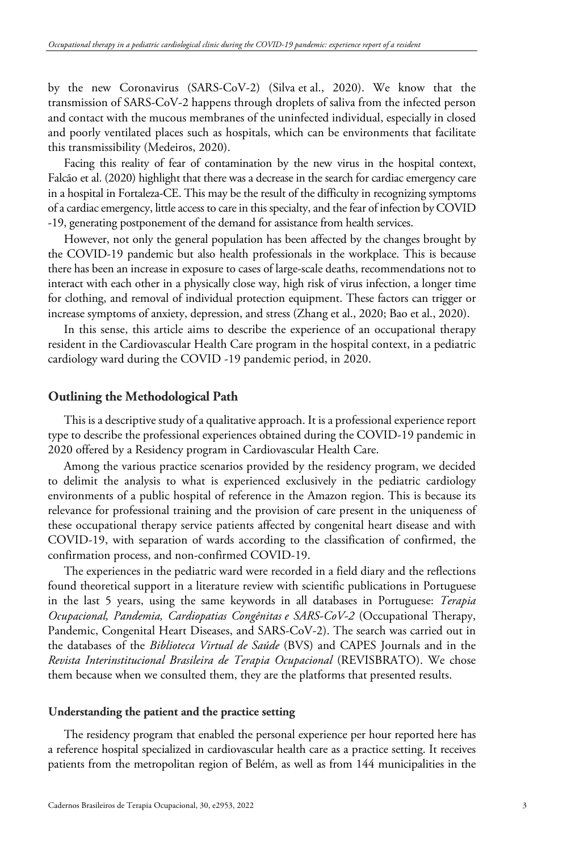by the new Coronavirus (SARS-CoV-2) (Silva et al., 2020). We know that the transmission of SARS-CoV-2 happens through droplets of saliva from the infected person and contact with the mucous membranes of the uninfected individual, especially in closed and poorly ventilated places such as hospitals, which can be environments that facilitate this transmissibility (Medeiros, 2020).

Facing this reality of fear of contamination by the new virus in the hospital context, Falcão et al. (2020) highlight that there was a decrease in the search for cardiac emergency care in a hospital in Fortaleza-CE. This may be the result of the difficulty in recognizing symptoms of a cardiac emergency, little access to care in this specialty, and the fear of infection by COVID -19, generating postponement of the demand for assistance from health services.

However, not only the general population has been affected by the changes brought by the COVID-19 pandemic but also health professionals in the workplace. This is because there has been an increase in exposure to cases of large-scale deaths, recommendations not to interact with each other in a physically close way, high risk of virus infection, a longer time for clothing, and removal of individual protection equipment. These factors can trigger or increase symptoms of anxiety, depression, and stress (Zhang et al., 2020; Bao et al., 2020).

In this sense, this article aims to describe the experience of an occupational therapy resident in the Cardiovascular Health Care program in the hospital context, in a pediatric cardiology ward during the COVID -19 pandemic period, in 2020.

### **Outlining the Methodological Path**

This is a descriptive study of a qualitative approach. It is a professional experience report type to describe the professional experiences obtained during the COVID-19 pandemic in 2020 offered by a Residency program in Cardiovascular Health Care.

Among the various practice scenarios provided by the residency program, we decided to delimit the analysis to what is experienced exclusively in the pediatric cardiology environments of a public hospital of reference in the Amazon region. This is because its relevance for professional training and the provision of care present in the uniqueness of these occupational therapy service patients affected by congenital heart disease and with COVID-19, with separation of wards according to the classification of confirmed, the confirmation process, and non-confirmed COVID-19.

The experiences in the pediatric ward were recorded in a field diary and the reflections found theoretical support in a literature review with scientific publications in Portuguese in the last 5 years, using the same keywords in all databases in Portuguese: *Terapia Ocupacional, Pandemia, Cardiopatias Congênitas e SARS-CoV-2* (Occupational Therapy, Pandemic, Congenital Heart Diseases, and SARS-CoV-2). The search was carried out in the databases of the *Biblioteca Virtual de Saúde* (BVS) and CAPES Journals and in the *Revista Interinstitucional Brasileira de Terapia Ocupacional* (REVISBRATO). We chose them because when we consulted them, they are the platforms that presented results.

#### **Understanding the patient and the practice setting**

The residency program that enabled the personal experience per hour reported here has a reference hospital specialized in cardiovascular health care as a practice setting. It receives patients from the metropolitan region of Belém, as well as from 144 municipalities in the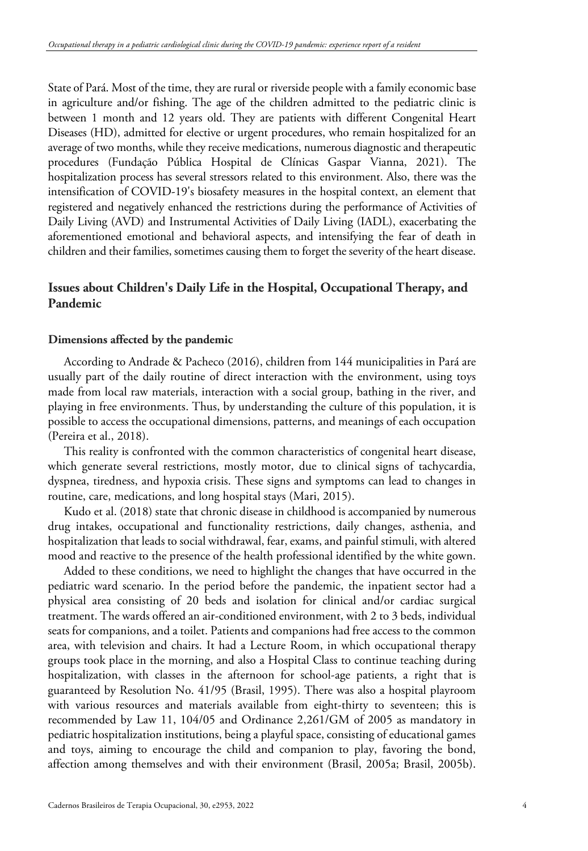State of Pará. Most of the time, they are rural or riverside people with a family economic base in agriculture and/or fishing. The age of the children admitted to the pediatric clinic is between 1 month and 12 years old. They are patients with different Congenital Heart Diseases (HD), admitted for elective or urgent procedures, who remain hospitalized for an average of two months, while they receive medications, numerous diagnostic and therapeutic procedures (Fundação Pública Hospital de Clínicas Gaspar Vianna, 2021). The hospitalization process has several stressors related to this environment. Also, there was the intensification of COVID-19's biosafety measures in the hospital context, an element that registered and negatively enhanced the restrictions during the performance of Activities of Daily Living (AVD) and Instrumental Activities of Daily Living (IADL), exacerbating the aforementioned emotional and behavioral aspects, and intensifying the fear of death in children and their families, sometimes causing them to forget the severity of the heart disease.

# **Issues about Children's Daily Life in the Hospital, Occupational Therapy, and Pandemic**

## **Dimensions affected by the pandemic**

According to Andrade & Pacheco (2016), children from 144 municipalities in Pará are usually part of the daily routine of direct interaction with the environment, using toys made from local raw materials, interaction with a social group, bathing in the river, and playing in free environments. Thus, by understanding the culture of this population, it is possible to access the occupational dimensions, patterns, and meanings of each occupation (Pereira et al., 2018).

This reality is confronted with the common characteristics of congenital heart disease, which generate several restrictions, mostly motor, due to clinical signs of tachycardia, dyspnea, tiredness, and hypoxia crisis. These signs and symptoms can lead to changes in routine, care, medications, and long hospital stays (Mari, 2015).

Kudo et al. (2018) state that chronic disease in childhood is accompanied by numerous drug intakes, occupational and functionality restrictions, daily changes, asthenia, and hospitalization that leads to social withdrawal, fear, exams, and painful stimuli, with altered mood and reactive to the presence of the health professional identified by the white gown.

Added to these conditions, we need to highlight the changes that have occurred in the pediatric ward scenario. In the period before the pandemic, the inpatient sector had a physical area consisting of 20 beds and isolation for clinical and/or cardiac surgical treatment. The wards offered an air-conditioned environment, with 2 to 3 beds, individual seats for companions, and a toilet. Patients and companions had free access to the common area, with television and chairs. It had a Lecture Room, in which occupational therapy groups took place in the morning, and also a Hospital Class to continue teaching during hospitalization, with classes in the afternoon for school-age patients, a right that is guaranteed by Resolution No. 41/95 (Brasil, 1995). There was also a hospital playroom with various resources and materials available from eight-thirty to seventeen; this is recommended by Law 11, 104/05 and Ordinance 2,261/GM of 2005 as mandatory in pediatric hospitalization institutions, being a playful space, consisting of educational games and toys, aiming to encourage the child and companion to play, favoring the bond, affection among themselves and with their environment (Brasil, 2005a; Brasil, 2005b).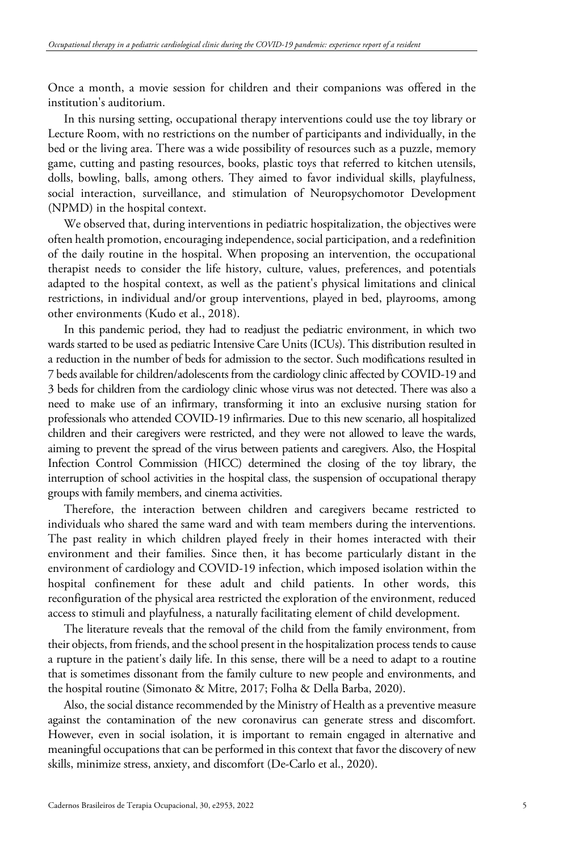Once a month, a movie session for children and their companions was offered in the institution's auditorium.

In this nursing setting, occupational therapy interventions could use the toy library or Lecture Room, with no restrictions on the number of participants and individually, in the bed or the living area. There was a wide possibility of resources such as a puzzle, memory game, cutting and pasting resources, books, plastic toys that referred to kitchen utensils, dolls, bowling, balls, among others. They aimed to favor individual skills, playfulness, social interaction, surveillance, and stimulation of Neuropsychomotor Development (NPMD) in the hospital context.

We observed that, during interventions in pediatric hospitalization, the objectives were often health promotion, encouraging independence, social participation, and a redefinition of the daily routine in the hospital. When proposing an intervention, the occupational therapist needs to consider the life history, culture, values, preferences, and potentials adapted to the hospital context, as well as the patient's physical limitations and clinical restrictions, in individual and/or group interventions, played in bed, playrooms, among other environments (Kudo et al., 2018).

In this pandemic period, they had to readjust the pediatric environment, in which two wards started to be used as pediatric Intensive Care Units (ICUs). This distribution resulted in a reduction in the number of beds for admission to the sector. Such modifications resulted in 7 beds available for children/adolescents from the cardiology clinic affected by COVID-19 and 3 beds for children from the cardiology clinic whose virus was not detected. There was also a need to make use of an infirmary, transforming it into an exclusive nursing station for professionals who attended COVID-19 infirmaries. Due to this new scenario, all hospitalized children and their caregivers were restricted, and they were not allowed to leave the wards, aiming to prevent the spread of the virus between patients and caregivers. Also, the Hospital Infection Control Commission (HICC) determined the closing of the toy library, the interruption of school activities in the hospital class, the suspension of occupational therapy groups with family members, and cinema activities.

Therefore, the interaction between children and caregivers became restricted to individuals who shared the same ward and with team members during the interventions. The past reality in which children played freely in their homes interacted with their environment and their families. Since then, it has become particularly distant in the environment of cardiology and COVID-19 infection, which imposed isolation within the hospital confinement for these adult and child patients. In other words, this reconfiguration of the physical area restricted the exploration of the environment, reduced access to stimuli and playfulness, a naturally facilitating element of child development.

The literature reveals that the removal of the child from the family environment, from their objects, from friends, and the school present in the hospitalization process tends to cause a rupture in the patient's daily life. In this sense, there will be a need to adapt to a routine that is sometimes dissonant from the family culture to new people and environments, and the hospital routine (Simonato & Mitre, 2017; Folha & Della Barba, 2020).

Also, the social distance recommended by the Ministry of Health as a preventive measure against the contamination of the new coronavirus can generate stress and discomfort. However, even in social isolation, it is important to remain engaged in alternative and meaningful occupations that can be performed in this context that favor the discovery of new skills, minimize stress, anxiety, and discomfort (De-Carlo et al., 2020).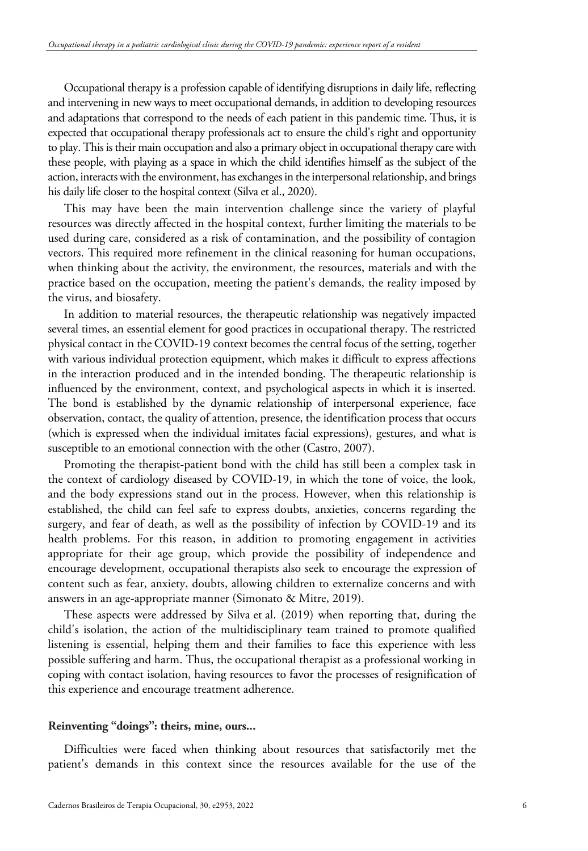Occupational therapy is a profession capable of identifying disruptions in daily life, reflecting and intervening in new ways to meet occupational demands, in addition to developing resources and adaptations that correspond to the needs of each patient in this pandemic time. Thus, it is expected that occupational therapy professionals act to ensure the child's right and opportunity to play. This is their main occupation and also a primary object in occupational therapy care with these people, with playing as a space in which the child identifies himself as the subject of the action, interacts with the environment, has exchanges in the interpersonal relationship, and brings his daily life closer to the hospital context (Silva et al., 2020).

This may have been the main intervention challenge since the variety of playful resources was directly affected in the hospital context, further limiting the materials to be used during care, considered as a risk of contamination, and the possibility of contagion vectors. This required more refinement in the clinical reasoning for human occupations, when thinking about the activity, the environment, the resources, materials and with the practice based on the occupation, meeting the patient's demands, the reality imposed by the virus, and biosafety.

In addition to material resources, the therapeutic relationship was negatively impacted several times, an essential element for good practices in occupational therapy. The restricted physical contact in the COVID-19 context becomes the central focus of the setting, together with various individual protection equipment, which makes it difficult to express affections in the interaction produced and in the intended bonding. The therapeutic relationship is influenced by the environment, context, and psychological aspects in which it is inserted. The bond is established by the dynamic relationship of interpersonal experience, face observation, contact, the quality of attention, presence, the identification process that occurs (which is expressed when the individual imitates facial expressions), gestures, and what is susceptible to an emotional connection with the other (Castro, 2007).

Promoting the therapist-patient bond with the child has still been a complex task in the context of cardiology diseased by COVID-19, in which the tone of voice, the look, and the body expressions stand out in the process. However, when this relationship is established, the child can feel safe to express doubts, anxieties, concerns regarding the surgery, and fear of death, as well as the possibility of infection by COVID-19 and its health problems. For this reason, in addition to promoting engagement in activities appropriate for their age group, which provide the possibility of independence and encourage development, occupational therapists also seek to encourage the expression of content such as fear, anxiety, doubts, allowing children to externalize concerns and with answers in an age-appropriate manner (Simonato & Mitre, 2019).

These aspects were addressed by Silva et al. (2019) when reporting that, during the child's isolation, the action of the multidisciplinary team trained to promote qualified listening is essential, helping them and their families to face this experience with less possible suffering and harm. Thus, the occupational therapist as a professional working in coping with contact isolation, having resources to favor the processes of resignification of this experience and encourage treatment adherence.

#### **Reinventing "doings": theirs, mine, ours...**

Difficulties were faced when thinking about resources that satisfactorily met the patient's demands in this context since the resources available for the use of the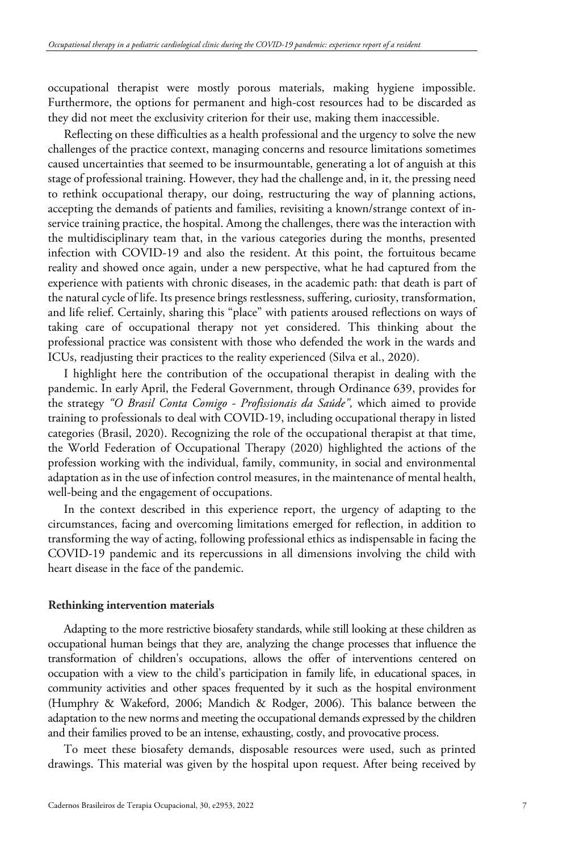occupational therapist were mostly porous materials, making hygiene impossible. Furthermore, the options for permanent and high-cost resources had to be discarded as they did not meet the exclusivity criterion for their use, making them inaccessible.

Reflecting on these difficulties as a health professional and the urgency to solve the new challenges of the practice context, managing concerns and resource limitations sometimes caused uncertainties that seemed to be insurmountable, generating a lot of anguish at this stage of professional training. However, they had the challenge and, in it, the pressing need to rethink occupational therapy, our doing, restructuring the way of planning actions, accepting the demands of patients and families, revisiting a known/strange context of inservice training practice, the hospital. Among the challenges, there was the interaction with the multidisciplinary team that, in the various categories during the months, presented infection with COVID-19 and also the resident. At this point, the fortuitous became reality and showed once again, under a new perspective, what he had captured from the experience with patients with chronic diseases, in the academic path: that death is part of the natural cycle of life. Its presence brings restlessness, suffering, curiosity, transformation, and life relief. Certainly, sharing this "place" with patients aroused reflections on ways of taking care of occupational therapy not yet considered. This thinking about the professional practice was consistent with those who defended the work in the wards and ICUs, readjusting their practices to the reality experienced (Silva et al., 2020).

I highlight here the contribution of the occupational therapist in dealing with the pandemic. In early April, the Federal Government, through Ordinance 639, provides for the strategy *"O Brasil Conta Comigo - Profissionais da Saúde",* which aimed to provide training to professionals to deal with COVID-19, including occupational therapy in listed categories (Brasil, 2020). Recognizing the role of the occupational therapist at that time, the World Federation of Occupational Therapy (2020) highlighted the actions of the profession working with the individual, family, community, in social and environmental adaptation as in the use of infection control measures, in the maintenance of mental health, well-being and the engagement of occupations.

In the context described in this experience report, the urgency of adapting to the circumstances, facing and overcoming limitations emerged for reflection, in addition to transforming the way of acting, following professional ethics as indispensable in facing the COVID-19 pandemic and its repercussions in all dimensions involving the child with heart disease in the face of the pandemic.

#### **Rethinking intervention materials**

Adapting to the more restrictive biosafety standards, while still looking at these children as occupational human beings that they are, analyzing the change processes that influence the transformation of children's occupations, allows the offer of interventions centered on occupation with a view to the child's participation in family life, in educational spaces, in community activities and other spaces frequented by it such as the hospital environment (Humphry & Wakeford, 2006; Mandich & Rodger, 2006). This balance between the adaptation to the new norms and meeting the occupational demands expressed by the children and their families proved to be an intense, exhausting, costly, and provocative process.

To meet these biosafety demands, disposable resources were used, such as printed drawings. This material was given by the hospital upon request. After being received by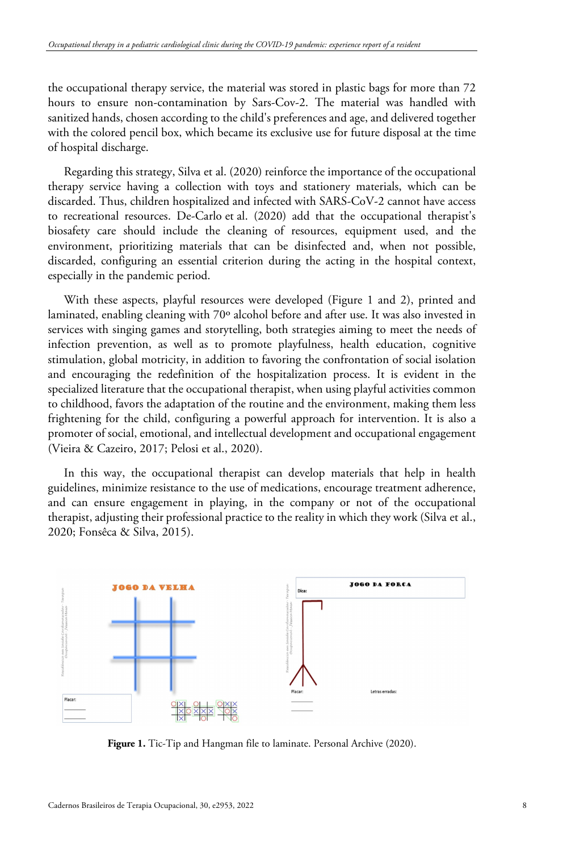the occupational therapy service, the material was stored in plastic bags for more than 72 hours to ensure non-contamination by Sars-Cov-2. The material was handled with sanitized hands, chosen according to the child's preferences and age, and delivered together with the colored pencil box, which became its exclusive use for future disposal at the time of hospital discharge.

Regarding this strategy, Silva et al. (2020) reinforce the importance of the occupational therapy service having a collection with toys and stationery materials, which can be discarded. Thus, children hospitalized and infected with SARS-CoV-2 cannot have access to recreational resources. De-Carlo et al. (2020) add that the occupational therapist's biosafety care should include the cleaning of resources, equipment used, and the environment, prioritizing materials that can be disinfected and, when not possible, discarded, configuring an essential criterion during the acting in the hospital context, especially in the pandemic period.

With these aspects, playful resources were developed (Figure 1 and 2), printed and laminated, enabling cleaning with 70º alcohol before and after use. It was also invested in services with singing games and storytelling, both strategies aiming to meet the needs of infection prevention, as well as to promote playfulness, health education, cognitive stimulation, global motricity, in addition to favoring the confrontation of social isolation and encouraging the redefinition of the hospitalization process. It is evident in the specialized literature that the occupational therapist, when using playful activities common to childhood, favors the adaptation of the routine and the environment, making them less frightening for the child, configuring a powerful approach for intervention. It is also a promoter of social, emotional, and intellectual development and occupational engagement (Vieira & Cazeiro, 2017; Pelosi et al., 2020).

In this way, the occupational therapist can develop materials that help in health guidelines, minimize resistance to the use of medications, encourage treatment adherence, and can ensure engagement in playing, in the company or not of the occupational therapist, adjusting their professional practice to the reality in which they work (Silva et al., 2020; Fonsêca & Silva, 2015).



**Figure 1.** Tic-Tip and Hangman file to laminate. Personal Archive (2020).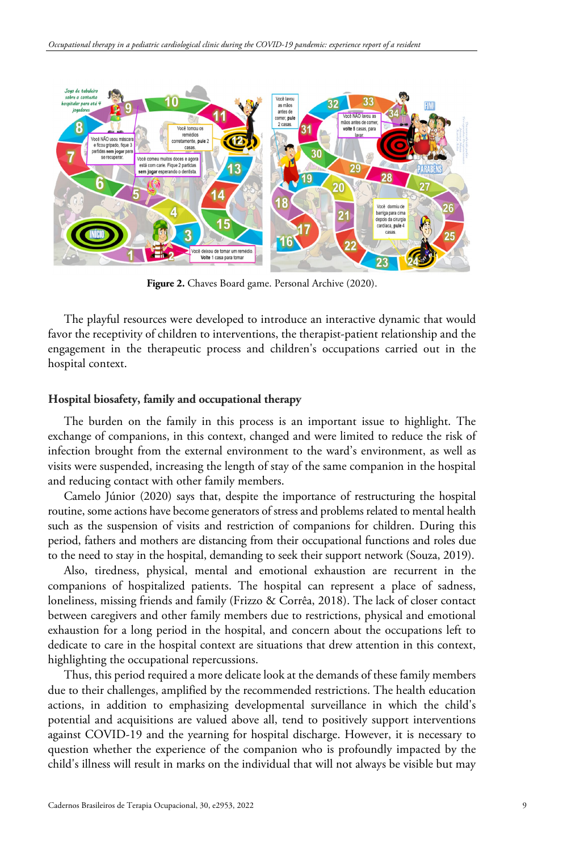

**Figure 2.** Chaves Board game. Personal Archive (2020).

The playful resources were developed to introduce an interactive dynamic that would favor the receptivity of children to interventions, the therapist-patient relationship and the engagement in the therapeutic process and children's occupations carried out in the hospital context.

## **Hospital biosafety, family and occupational therapy**

The burden on the family in this process is an important issue to highlight. The exchange of companions, in this context, changed and were limited to reduce the risk of infection brought from the external environment to the ward's environment, as well as visits were suspended, increasing the length of stay of the same companion in the hospital and reducing contact with other family members.

Camelo Júnior (2020) says that, despite the importance of restructuring the hospital routine, some actions have become generators of stress and problems related to mental health such as the suspension of visits and restriction of companions for children. During this period, fathers and mothers are distancing from their occupational functions and roles due to the need to stay in the hospital, demanding to seek their support network (Souza, 2019).

Also, tiredness, physical, mental and emotional exhaustion are recurrent in the companions of hospitalized patients. The hospital can represent a place of sadness, loneliness, missing friends and family (Frizzo & Corrêa, 2018). The lack of closer contact between caregivers and other family members due to restrictions, physical and emotional exhaustion for a long period in the hospital, and concern about the occupations left to dedicate to care in the hospital context are situations that drew attention in this context, highlighting the occupational repercussions.

Thus, this period required a more delicate look at the demands of these family members due to their challenges, amplified by the recommended restrictions. The health education actions, in addition to emphasizing developmental surveillance in which the child's potential and acquisitions are valued above all, tend to positively support interventions against COVID-19 and the yearning for hospital discharge. However, it is necessary to question whether the experience of the companion who is profoundly impacted by the child's illness will result in marks on the individual that will not always be visible but may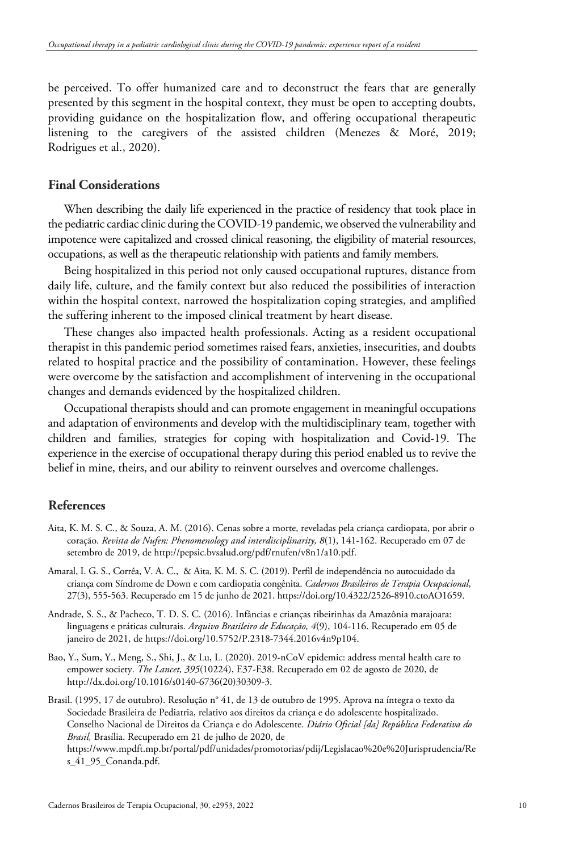be perceived. To offer humanized care and to deconstruct the fears that are generally presented by this segment in the hospital context, they must be open to accepting doubts, providing guidance on the hospitalization flow, and offering occupational therapeutic listening to the caregivers of the assisted children (Menezes & Moré, 2019; Rodrigues et al., 2020).

## **Final Considerations**

When describing the daily life experienced in the practice of residency that took place in the pediatric cardiac clinic during the COVID-19 pandemic, we observed the vulnerability and impotence were capitalized and crossed clinical reasoning, the eligibility of material resources, occupations, as well as the therapeutic relationship with patients and family members.

Being hospitalized in this period not only caused occupational ruptures, distance from daily life, culture, and the family context but also reduced the possibilities of interaction within the hospital context, narrowed the hospitalization coping strategies, and amplified the suffering inherent to the imposed clinical treatment by heart disease.

These changes also impacted health professionals. Acting as a resident occupational therapist in this pandemic period sometimes raised fears, anxieties, insecurities, and doubts related to hospital practice and the possibility of contamination. However, these feelings were overcome by the satisfaction and accomplishment of intervening in the occupational changes and demands evidenced by the hospitalized children.

Occupational therapists should and can promote engagement in meaningful occupations and adaptation of environments and develop with the multidisciplinary team, together with children and families, strategies for coping with hospitalization and Covid-19. The experience in the exercise of occupational therapy during this period enabled us to revive the belief in mine, theirs, and our ability to reinvent ourselves and overcome challenges.

# **References**

- Aita, K. M. S. C., & Souza, A. M. (2016). Cenas sobre a morte, reveladas pela criança cardiopata, por abrir o coração. *Revista do Nufen: Phenomenology and interdisciplinarity, 8*(1), 141-162. Recuperado em 07 de setembro de 2019, de http://pepsic.bvsalud.org/pdf/rnufen/v8n1/a10.pdf.
- Amaral, I. G. S., Corrêa, V. A. C., & Aita, K. M. S. C. (2019). Perfil de independência no autocuidado da criança com Síndrome de Down e com cardiopatia congênita. *Cadernos Brasileiros de Terapia Ocupacional*, 27(3), 555-563. Recuperado em 15 de junho de 2021. https://doi.org/10.4322/2526-8910.ctoAO1659.
- Andrade, S. S., & Pacheco, T. D. S. C. (2016). Infâncias e crianças ribeirinhas da Amazônia marajoara: linguagens e práticas culturais. *Arquivo Brasileiro de Educação, 4*(9), 104-116. Recuperado em 05 de janeiro de 2021, de https://doi.org/10.5752/P.2318-7344.2016v4n9p104.
- Bao, Y., Sum, Y., Meng, S., Shi, J., & Lu, L. (2020). 2019-nCoV epidemic: address mental health care to empower society. *The Lancet, 395*(10224), E37-E38. Recuperado em 02 de agosto de 2020, de http://dx.doi.org/10.1016/s0140-6736(20)30309-3.
- Brasil. (1995, 17 de outubro). Resolução n° 41, de 13 de outubro de 1995. Aprova na íntegra o texto da Sociedade Brasileira de Pediatria, relativo aos direitos da criança e do adolescente hospitalizado. Conselho Nacional de Direitos da Criança e do Adolescente. *Diário Oficial [da] República Federativa do Brasil,* Brasília. Recuperado em 21 de julho de 2020, de https://www.mpdft.mp.br/portal/pdf/unidades/promotorias/pdij/Legislacao%20e%20Jurisprudencia/Re s\_41\_95\_Conanda.pdf.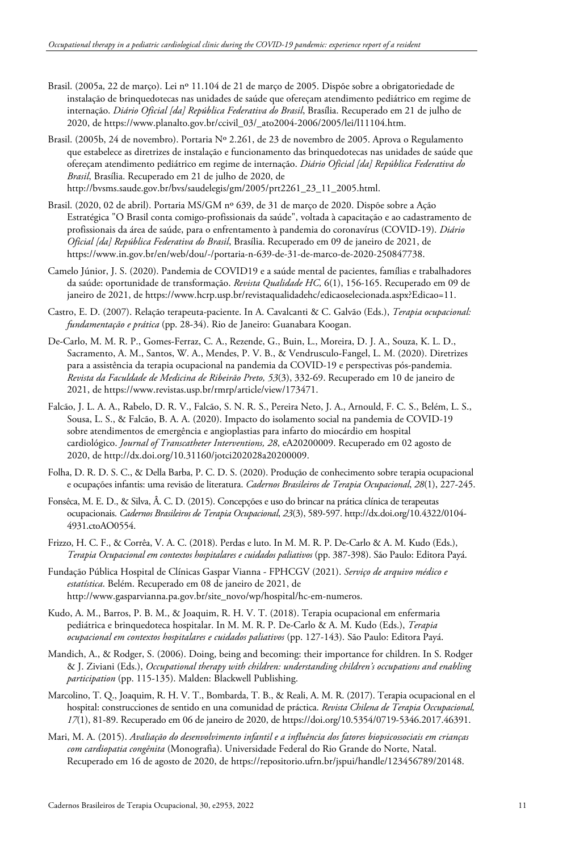- Brasil. (2005a, 22 de março). Lei nº 11.104 de 21 de março de 2005. Dispõe sobre a obrigatoriedade de instalação de brinquedotecas nas unidades de saúde que ofereçam atendimento pediátrico em regime de internação. *Diário Oficial [da] República Federativa do Brasil*, Brasília. Recuperado em 21 de julho de 2020, de https://www.planalto.gov.br/ccivil\_03/\_ato2004-2006/2005/lei/l11104.htm.
- Brasil. (2005b, 24 de novembro). Portaria Nº 2.261, de 23 de novembro de 2005. Aprova o Regulamento que estabelece as diretrizes de instalação e funcionamento das brinquedotecas nas unidades de saúde que ofereçam atendimento pediátrico em regime de internação. *Diário Oficial [da] República Federativa do Brasil*, Brasília. Recuperado em 21 de julho de 2020, de http://bvsms.saude.gov.br/bvs/saudelegis/gm/2005/prt2261\_23\_11\_2005.html.
- Brasil. (2020, 02 de abril). Portaria MS/GM nº 639, de 31 de março de 2020. Dispõe sobre a Ação Estratégica "O Brasil conta comigo-profissionais da saúde", voltada à capacitação e ao cadastramento de profissionais da área de saúde, para o enfrentamento à pandemia do coronavírus (COVID-19). *Diário Oficial [da] República Federativa do Brasil*, Brasília. Recuperado em 09 de janeiro de 2021, de https://www.in.gov.br/en/web/dou/-/portaria-n-639-de-31-de-marco-de-2020-250847738.
- Camelo Júnior, J. S. (2020). Pandemia de COVID19 e a saúde mental de pacientes, famílias e trabalhadores da saúde: oportunidade de transformação. *Revista Qualidade HC,* 6(1), 156-165. Recuperado em 09 de janeiro de 2021, de https://www.hcrp.usp.br/revistaqualidadehc/edicaoselecionada.aspx?Edicao=11.
- Castro, E. D. (2007). Relação terapeuta-paciente. In A. Cavalcanti & C. Galvão (Eds.), *Terapia ocupacional: fundamentação e prática* (pp. 28-34). Rio de Janeiro: Guanabara Koogan.
- De-Carlo, M. M. R. P., Gomes-Ferraz, C. A., Rezende, G., Buin, L., Moreira, D. J. A., Souza, K. L. D., Sacramento, A. M., Santos, W. A., Mendes, P. V. B., & Vendrusculo-Fangel, L. M. (2020). Diretrizes para a assistência da terapia ocupacional na pandemia da COVID-19 e perspectivas pós-pandemia. *Revista da Faculdade de Medicina de Ribeirão Preto, 53*(3), 332-69. Recuperado em 10 de janeiro de 2021, de https://www.revistas.usp.br/rmrp/article/view/173471.
- Falcão, J. L. A. A., Rabelo, D. R. V., Falcão, S. N. R. S., Pereira Neto, J. A., Arnould, F. C. S., Belém, L. S., Sousa, L. S., & Falcão, B. A. A. (2020). Impacto do isolamento social na pandemia de COVID-19 sobre atendimentos de emergência e angioplastias para infarto do miocárdio em hospital cardiológico. *Journal of Transcatheter Interventions, 28*, eA20200009. Recuperado em 02 agosto de 2020, de http://dx.doi.org/10.31160/jotci202028a20200009.
- Folha, D. R. D. S. C., & Della Barba, P. C. D. S. (2020). Produção de conhecimento sobre terapia ocupacional e ocupações infantis: uma revisão de literatura. *Cadernos Brasileiros de Terapia Ocupacional*, *28*(1), 227-245.
- Fonsêca, M. E. D., & Silva, Â. C. D. (2015). Concepções e uso do brincar na prática clínica de terapeutas ocupacionais. *Cadernos Brasileiros de Terapia Ocupacional*, *23*(3), 589-597. http://dx.doi.org/10.4322/0104- 4931.ctoAO0554.
- Frizzo, H. C. F., & Corrêa, V. A. C. (2018). Perdas e luto. In M. M. R. P. De-Carlo & A. M. Kudo (Eds.), *Terapia Ocupacional em contextos hospitalares e cuidados paliativos* (pp. 387-398). São Paulo: Editora Payá.
- Fundação Pública Hospital de Clínicas Gaspar Vianna FPHCGV (2021). *Serviço de arquivo médico e estatística*. Belém. Recuperado em 08 de janeiro de 2021, de http://www.gasparvianna.pa.gov.br/site\_novo/wp/hospital/hc-em-numeros.
- Kudo, A. M., Barros, P. B. M., & Joaquim, R. H. V. T. (2018). Terapia ocupacional em enfermaria pediátrica e brinquedoteca hospitalar. In M. M. R. P. De-Carlo & A. M. Kudo (Eds.), *Terapia ocupacional em contextos hospitalares e cuidados paliativos* (pp. 127-143). São Paulo: Editora Payá.
- Mandich, A., & Rodger, S. (2006). Doing, being and becoming: their importance for children. In S. Rodger & J. Ziviani (Eds.), *Occupational therapy with children: understanding children's occupations and enabling participation* (pp. 115-135). Malden: Blackwell Publishing.
- Marcolino, T. Q., Joaquim, R. H. V. T., Bombarda, T. B., & Reali, A. M. R. (2017). Terapia ocupacional en el hospital: construcciones de sentido en una comunidad de práctica. *Revista Chilena de Terapia Occupacional, 17*(1), 81-89. Recuperado em 06 de janeiro de 2020, de https://doi.org/10.5354/0719-5346.2017.46391.
- Mari, M. A. (2015). *Avaliação do desenvolvimento infantil e a influência dos fatores biopsicossociais em crianças com cardiopatia congênita* (Monografia). Universidade Federal do Rio Grande do Norte, Natal. Recuperado em 16 de agosto de 2020, de https://repositorio.ufrn.br/jspui/handle/123456789/20148.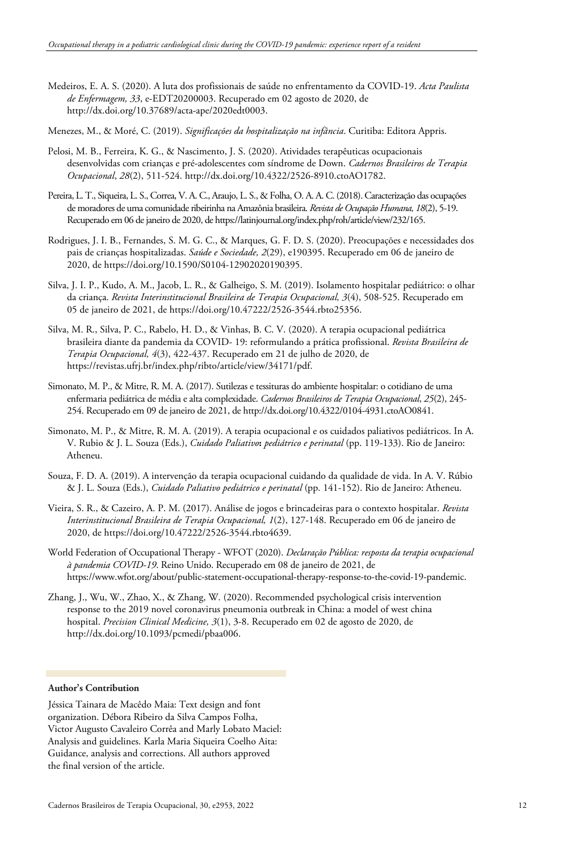- Medeiros, E. A. S. (2020). A luta dos profissionais de saúde no enfrentamento da COVID-19. *Acta Paulista de Enfermagem, 33*, e-EDT20200003. Recuperado em 02 agosto de 2020, de http://dx.doi.org/10.37689/acta-ape/2020edt0003.
- Menezes, M., & Moré, C. (2019). *Significações da hospitalização na infância*. Curitiba: Editora Appris.
- Pelosi, M. B., Ferreira, K. G., & Nascimento, J. S. (2020). Atividades terapêuticas ocupacionais desenvolvidas com crianças e pré-adolescentes com síndrome de Down. *Cadernos Brasileiros de Terapia Ocupacional*, *28*(2), 511-524. http://dx.doi.org/10.4322/2526-8910.ctoAO1782.
- Pereira, L. T., Siqueira, L. S., Correa, V. A. C., Araujo, L. S., & Folha, O. A. A. C. (2018). Caracterização das ocupações de moradores de uma comunidade ribeirinha na Amazônia brasileira. *Revista de Ocupação Humana, 18*(2), 5-19. Recuperado em 06 de janeiro de 2020, de https://latinjournal.org/index.php/roh/article/view/232/165.
- Rodrigues, J. I. B., Fernandes, S. M. G. C., & Marques, G. F. D. S. (2020). Preocupações e necessidades dos pais de crianças hospitalizadas. *Saúde e Sociedade, 2*(29), e190395. Recuperado em 06 de janeiro de 2020, de https://doi.org/10.1590/S0104-12902020190395.
- Silva, J. I. P., Kudo, A. M., Jacob, L. R., & Galheigo, S. M. (2019). Isolamento hospitalar pediátrico: o olhar da criança. *Revista Interinstitucional Brasileira de Terapia Ocupacional, 3*(4), 508-525. Recuperado em 05 de janeiro de 2021, de https://doi.org/10.47222/2526-3544.rbto25356.
- Silva, M. R., Silva, P. C., Rabelo, H. D., & Vinhas, B. C. V. (2020). A terapia ocupacional pediátrica brasileira diante da pandemia da COVID- 19: reformulando a prática profissional. *Revista Brasileira de Terapia Ocupacional, 4*(3), 422-437. Recuperado em 21 de julho de 2020, de https://revistas.ufrj.br/index.php/ribto/article/view/34171/pdf.
- Simonato, M. P., & Mitre, R. M. A. (2017). Sutilezas e tessituras do ambiente hospitalar: o cotidiano de uma enfermaria pediátrica de média e alta complexidade. *Cadernos Brasileiros de Terapia Ocupacional*, *25*(2), 245- 254. Recuperado em 09 de janeiro de 2021, de http://dx.doi.org/10.4322/0104-4931.ctoAO0841.
- Simonato, M. P., & Mitre, R. M. A. (2019). A terapia ocupacional e os cuidados paliativos pediátricos. In A. V. Rubio & J. L. Souza (Eds.), *Cuidado Paliativo***:** *pediátrico e perinatal* (pp. 119-133). Rio de Janeiro: Atheneu.
- Souza, F. D. A. (2019). A intervenção da terapia ocupacional cuidando da qualidade de vida. In A. V. Rúbio & J. L. Souza (Eds.), *Cuidado Paliativo pediátrico e perinatal* (pp. 141-152). Rio de Janeiro: Atheneu.
- Vieira, S. R., & Cazeiro, A. P. M. (2017). Análise de jogos e brincadeiras para o contexto hospitalar. *Revista Interinstitucional Brasileira de Terapia Ocupacional, 1*(2), 127-148. Recuperado em 06 de janeiro de 2020, de https://doi.org/10.47222/2526-3544.rbto4639.
- World Federation of Occupational Therapy WFOT (2020). *Declaração Pública: resposta da terapia ocupacional à pandemia COVID-19*. Reino Unido. Recuperado em 08 de janeiro de 2021, de https://www.wfot.org/about/public-statement-occupational-therapy-response-to-the-covid-19-pandemic.
- Zhang, J., Wu, W., Zhao, X., & Zhang, W. (2020). Recommended psychological crisis intervention response to the 2019 novel coronavirus pneumonia outbreak in China: a model of west china hospital. *Precision Clinical Medicine, 3*(1), 3-8. Recuperado em 02 de agosto de 2020, de http://dx.doi.org/10.1093/pcmedi/pbaa006.

#### **Author's Contribution**

Jéssica Tainara de Macêdo Maia: Text design and font organization. Débora Ribeiro da Silva Campos Folha, Victor Augusto Cavaleiro Corrêa and Marly Lobato Maciel: Analysis and guidelines. Karla Maria Siqueira Coelho Aita: Guidance, analysis and corrections. All authors approved the final version of the article.